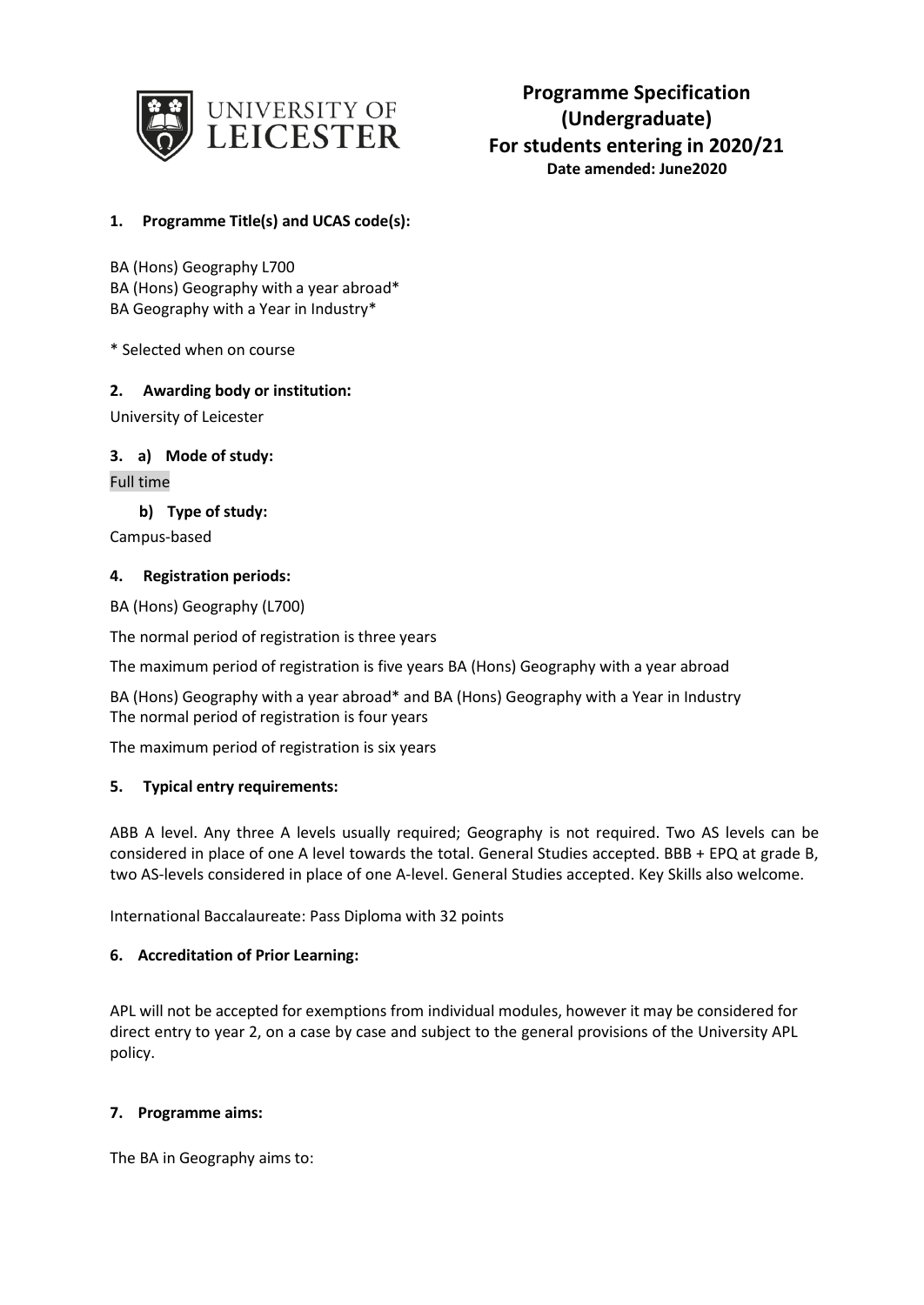

# **Programme Specification (Undergraduate) For students entering in 2020/21 Date amended: June2020**

# **1. Programme Title(s) and UCAS code(s):**

BA (Hons) Geography L700 BA (Hons) Geography with a year abroad\* BA Geography with a Year in Industry\*

\* Selected when on course

### **2. Awarding body or institution:**

University of Leicester

### **3. a) Mode of study:**

Full time

### **b) Type of study:**

Campus-based

### **4. Registration periods:**

BA (Hons) Geography (L700)

The normal period of registration is three years

The maximum period of registration is five years BA (Hons) Geography with a year abroad

BA (Hons) Geography with a year abroad\* and BA (Hons) Geography with a Year in Industry The normal period of registration is four years

The maximum period of registration is six years

# **5. Typical entry requirements:**

ABB A level. Any three A levels usually required; Geography is not required. Two AS levels can be considered in place of one A level towards the total. General Studies accepted. BBB + EPQ at grade B, two AS-levels considered in place of one A-level. General Studies accepted. Key Skills also welcome.

International Baccalaureate: Pass Diploma with 32 points

### **6. Accreditation of Prior Learning:**

APL will not be accepted for exemptions from individual modules, however it may be considered for direct entry to year 2, on a case by case and subject to the general provisions of the University APL policy.

### **7. Programme aims:**

The BA in Geography aims to: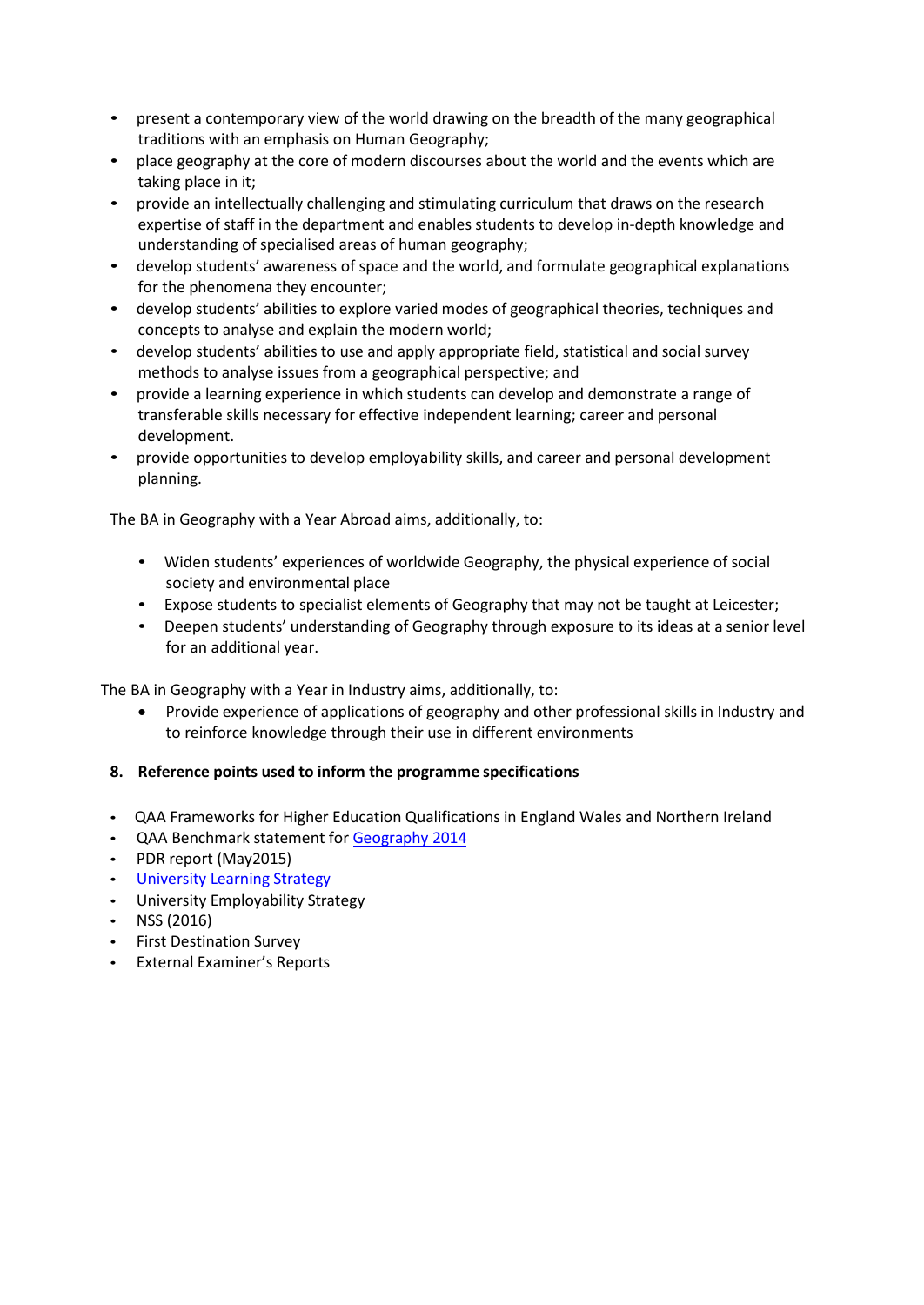- present a contemporary view of the world drawing on the breadth of the many geographical traditions with an emphasis on Human Geography;
- place geography at the core of modern discourses about the world and the events which are taking place in it;
- provide an intellectually challenging and stimulating curriculum that draws on the research expertise of staff in the department and enables students to develop in-depth knowledge and understanding of specialised areas of human geography;
- develop students' awareness of space and the world, and formulate geographical explanations for the phenomena they encounter;
- develop students' abilities to explore varied modes of geographical theories, techniques and concepts to analyse and explain the modern world;
- develop students' abilities to use and apply appropriate field, statistical and social survey methods to analyse issues from a geographical perspective; and
- provide a learning experience in which students can develop and demonstrate a range of transferable skills necessary for effective independent learning; career and personal development.
- provide opportunities to develop employability skills, and career and personal development planning.

The BA in Geography with a Year Abroad aims, additionally, to:

- Widen students' experiences of worldwide Geography, the physical experience of social society and environmental place
- Expose students to specialist elements of Geography that may not be taught at Leicester;
- Deepen students' understanding of Geography through exposure to its ideas at a senior level for an additional year.

The BA in Geography with a Year in Industry aims, additionally, to:

• Provide experience of applications of geography and other professional skills in Industry and to reinforce knowledge through their use in different environments

# **8. Reference points used to inform the programme specifications**

- QAA Frameworks for Higher Education Qualifications in England Wales and Northern Ireland
- QAA Benchmark statement fo[r Geography](http://www.qaa.ac.uk/en/Publications/Documents/SBS-geography-14.pdf) 2014
- PDR report (May2015)
- University [Learning Strategy](http://www2.le.ac.uk/offices/sas2/quality/learnteach)
- University Employability Strategy
- NSS (2016)
- First Destination Survey
- External Examiner's Reports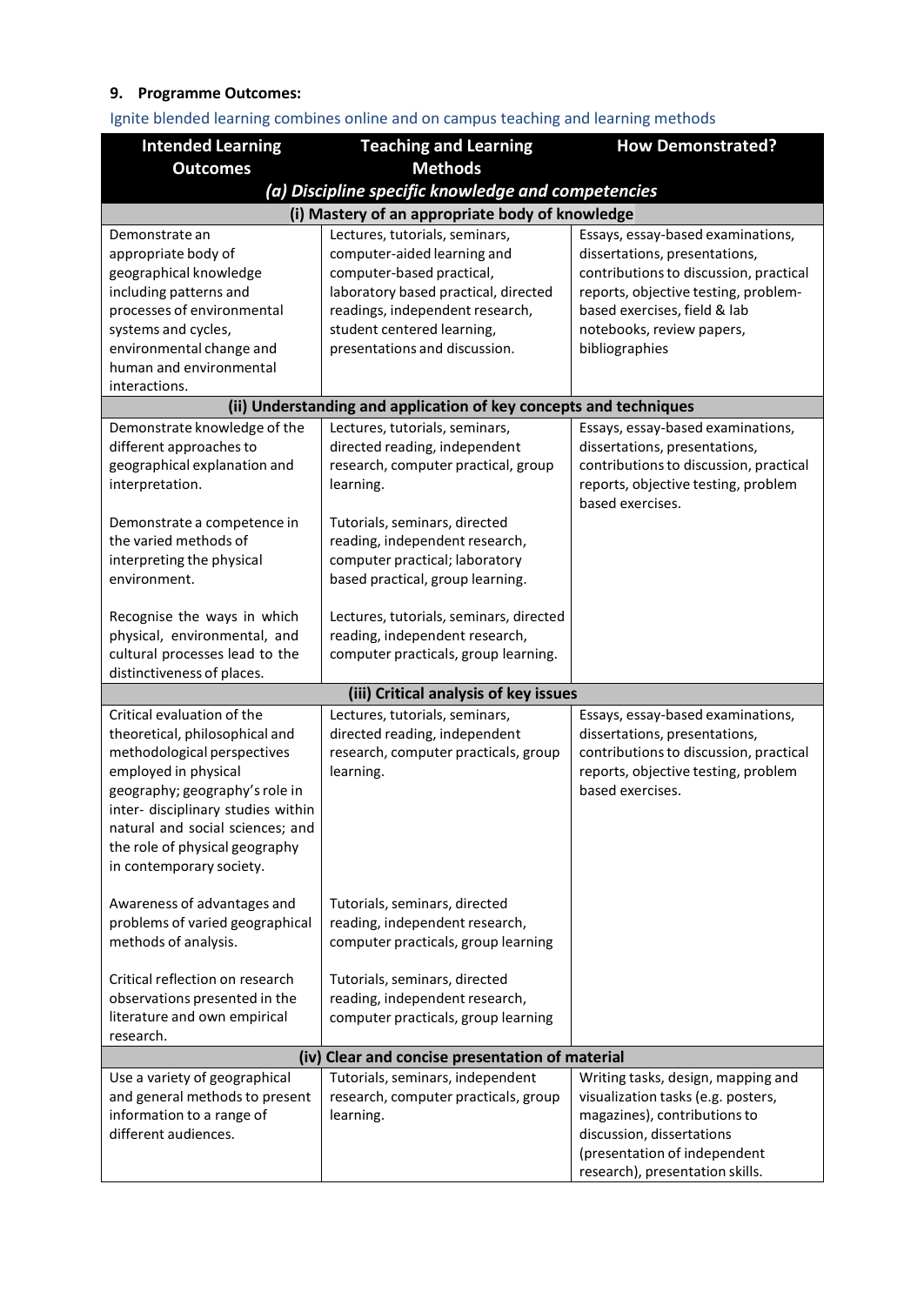# **9. Programme Outcomes:**

| <b>Methods</b><br><b>Outcomes</b>                                                                                                                  |  |  |
|----------------------------------------------------------------------------------------------------------------------------------------------------|--|--|
| (a) Discipline specific knowledge and competencies                                                                                                 |  |  |
| (i) Mastery of an appropriate body of knowledge                                                                                                    |  |  |
| Lectures, tutorials, seminars,<br>Essays, essay-based examinations,<br>Demonstrate an                                                              |  |  |
| appropriate body of<br>computer-aided learning and<br>dissertations, presentations,                                                                |  |  |
| contributions to discussion, practical<br>geographical knowledge<br>computer-based practical,                                                      |  |  |
| including patterns and<br>laboratory based practical, directed<br>reports, objective testing, problem-                                             |  |  |
| processes of environmental<br>readings, independent research,<br>based exercises, field & lab<br>student centered learning,<br>systems and cycles, |  |  |
| notebooks, review papers,<br>presentations and discussion.<br>environmental change and<br>bibliographies                                           |  |  |
| human and environmental                                                                                                                            |  |  |
| interactions.                                                                                                                                      |  |  |
| (ii) Understanding and application of key concepts and techniques                                                                                  |  |  |
| Demonstrate knowledge of the<br>Lectures, tutorials, seminars,<br>Essays, essay-based examinations,                                                |  |  |
| directed reading, independent<br>different approaches to<br>dissertations, presentations,                                                          |  |  |
| contributions to discussion, practical<br>geographical explanation and<br>research, computer practical, group                                      |  |  |
| interpretation.<br>learning.<br>reports, objective testing, problem                                                                                |  |  |
| based exercises.                                                                                                                                   |  |  |
| Demonstrate a competence in<br>Tutorials, seminars, directed                                                                                       |  |  |
| the varied methods of<br>reading, independent research,                                                                                            |  |  |
| computer practical; laboratory<br>interpreting the physical                                                                                        |  |  |
| environment.<br>based practical, group learning.                                                                                                   |  |  |
| Recognise the ways in which<br>Lectures, tutorials, seminars, directed                                                                             |  |  |
| physical, environmental, and<br>reading, independent research,                                                                                     |  |  |
| cultural processes lead to the<br>computer practicals, group learning.                                                                             |  |  |
| distinctiveness of places.                                                                                                                         |  |  |
| (iii) Critical analysis of key issues                                                                                                              |  |  |
| Critical evaluation of the<br>Lectures, tutorials, seminars,<br>Essays, essay-based examinations,                                                  |  |  |
| directed reading, independent<br>theoretical, philosophical and<br>dissertations, presentations,                                                   |  |  |
| contributions to discussion, practical<br>methodological perspectives<br>research, computer practicals, group                                      |  |  |
| employed in physical<br>learning.<br>reports, objective testing, problem                                                                           |  |  |
| based exercises.<br>geography; geography's role in                                                                                                 |  |  |
| inter- disciplinary studies within                                                                                                                 |  |  |
| natural and social sciences; and                                                                                                                   |  |  |
| the role of physical geography                                                                                                                     |  |  |
| in contemporary society.                                                                                                                           |  |  |
| Awareness of advantages and<br>Tutorials, seminars, directed                                                                                       |  |  |
| problems of varied geographical<br>reading, independent research,                                                                                  |  |  |
| methods of analysis.<br>computer practicals, group learning                                                                                        |  |  |
|                                                                                                                                                    |  |  |
| Critical reflection on research<br>Tutorials, seminars, directed                                                                                   |  |  |
| observations presented in the<br>reading, independent research,                                                                                    |  |  |
| literature and own empirical<br>computer practicals, group learning                                                                                |  |  |
| research.                                                                                                                                          |  |  |
| (iv) Clear and concise presentation of material                                                                                                    |  |  |
| Use a variety of geographical<br>Tutorials, seminars, independent<br>Writing tasks, design, mapping and                                            |  |  |
| and general methods to present<br>research, computer practicals, group<br>visualization tasks (e.g. posters,                                       |  |  |
| information to a range of<br>learning.<br>magazines), contributions to                                                                             |  |  |
| different audiences.<br>discussion, dissertations<br>(presentation of independent                                                                  |  |  |
| research), presentation skills.                                                                                                                    |  |  |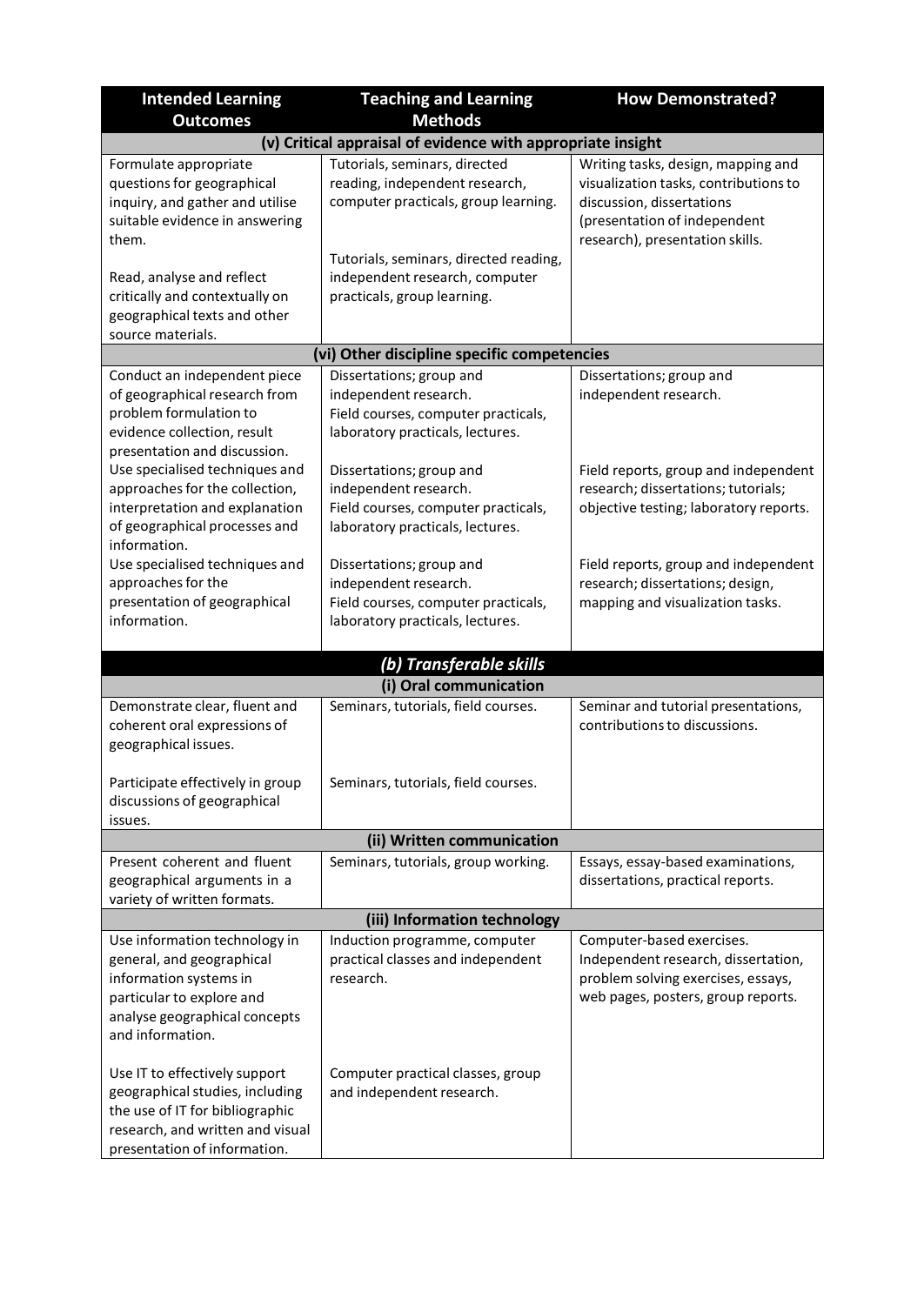| <b>Intended Learning</b>                                                                                                                                                                                                   | <b>Teaching and Learning</b>                                                                                                                                                      | <b>How Demonstrated?</b>                                                                                                                                                    |  |  |
|----------------------------------------------------------------------------------------------------------------------------------------------------------------------------------------------------------------------------|-----------------------------------------------------------------------------------------------------------------------------------------------------------------------------------|-----------------------------------------------------------------------------------------------------------------------------------------------------------------------------|--|--|
| <b>Outcomes</b>                                                                                                                                                                                                            | <b>Methods</b>                                                                                                                                                                    |                                                                                                                                                                             |  |  |
| (v) Critical appraisal of evidence with appropriate insight                                                                                                                                                                |                                                                                                                                                                                   |                                                                                                                                                                             |  |  |
| Formulate appropriate<br>questions for geographical<br>inquiry, and gather and utilise<br>suitable evidence in answering<br>them.                                                                                          | Tutorials, seminars, directed<br>reading, independent research,<br>computer practicals, group learning.                                                                           | Writing tasks, design, mapping and<br>visualization tasks, contributions to<br>discussion, dissertations<br>(presentation of independent<br>research), presentation skills. |  |  |
| Read, analyse and reflect<br>critically and contextually on<br>geographical texts and other<br>source materials.                                                                                                           | Tutorials, seminars, directed reading,<br>independent research, computer<br>practicals, group learning.                                                                           |                                                                                                                                                                             |  |  |
|                                                                                                                                                                                                                            | (vi) Other discipline specific competencies                                                                                                                                       |                                                                                                                                                                             |  |  |
| Conduct an independent piece<br>of geographical research from<br>problem formulation to<br>evidence collection, result<br>presentation and discussion.<br>Use specialised techniques and<br>approaches for the collection, | Dissertations; group and<br>independent research.<br>Field courses, computer practicals,<br>laboratory practicals, lectures.<br>Dissertations; group and<br>independent research. | Dissertations; group and<br>independent research.<br>Field reports, group and independent<br>research; dissertations; tutorials;                                            |  |  |
| interpretation and explanation<br>of geographical processes and<br>information.                                                                                                                                            | Field courses, computer practicals,<br>laboratory practicals, lectures.                                                                                                           | objective testing; laboratory reports.                                                                                                                                      |  |  |
| Use specialised techniques and<br>approaches for the<br>presentation of geographical<br>information.                                                                                                                       | Dissertations; group and<br>independent research.<br>Field courses, computer practicals,<br>laboratory practicals, lectures.                                                      | Field reports, group and independent<br>research; dissertations; design,<br>mapping and visualization tasks.                                                                |  |  |
|                                                                                                                                                                                                                            | (b) Transferable skills                                                                                                                                                           |                                                                                                                                                                             |  |  |
|                                                                                                                                                                                                                            | (i) Oral communication                                                                                                                                                            |                                                                                                                                                                             |  |  |
| Demonstrate clear, fluent and<br>coherent oral expressions of<br>geographical issues.                                                                                                                                      | Seminars, tutorials, field courses.                                                                                                                                               | Seminar and tutorial presentations,<br>contributions to discussions.                                                                                                        |  |  |
| Participate effectively in group<br>discussions of geographical<br>issues.                                                                                                                                                 | Seminars, tutorials, field courses.                                                                                                                                               |                                                                                                                                                                             |  |  |
|                                                                                                                                                                                                                            | (ii) Written communication                                                                                                                                                        |                                                                                                                                                                             |  |  |
| Present coherent and fluent<br>geographical arguments in a<br>variety of written formats.                                                                                                                                  | Seminars, tutorials, group working.                                                                                                                                               | Essays, essay-based examinations,<br>dissertations, practical reports.                                                                                                      |  |  |
|                                                                                                                                                                                                                            | (iii) Information technology                                                                                                                                                      |                                                                                                                                                                             |  |  |
| Use information technology in<br>general, and geographical<br>information systems in<br>particular to explore and<br>analyse geographical concepts<br>and information.                                                     | Induction programme, computer<br>practical classes and independent<br>research.                                                                                                   | Computer-based exercises.<br>Independent research, dissertation,<br>problem solving exercises, essays,<br>web pages, posters, group reports.                                |  |  |
| Use IT to effectively support<br>geographical studies, including<br>the use of IT for bibliographic<br>research, and written and visual<br>presentation of information.                                                    | Computer practical classes, group<br>and independent research.                                                                                                                    |                                                                                                                                                                             |  |  |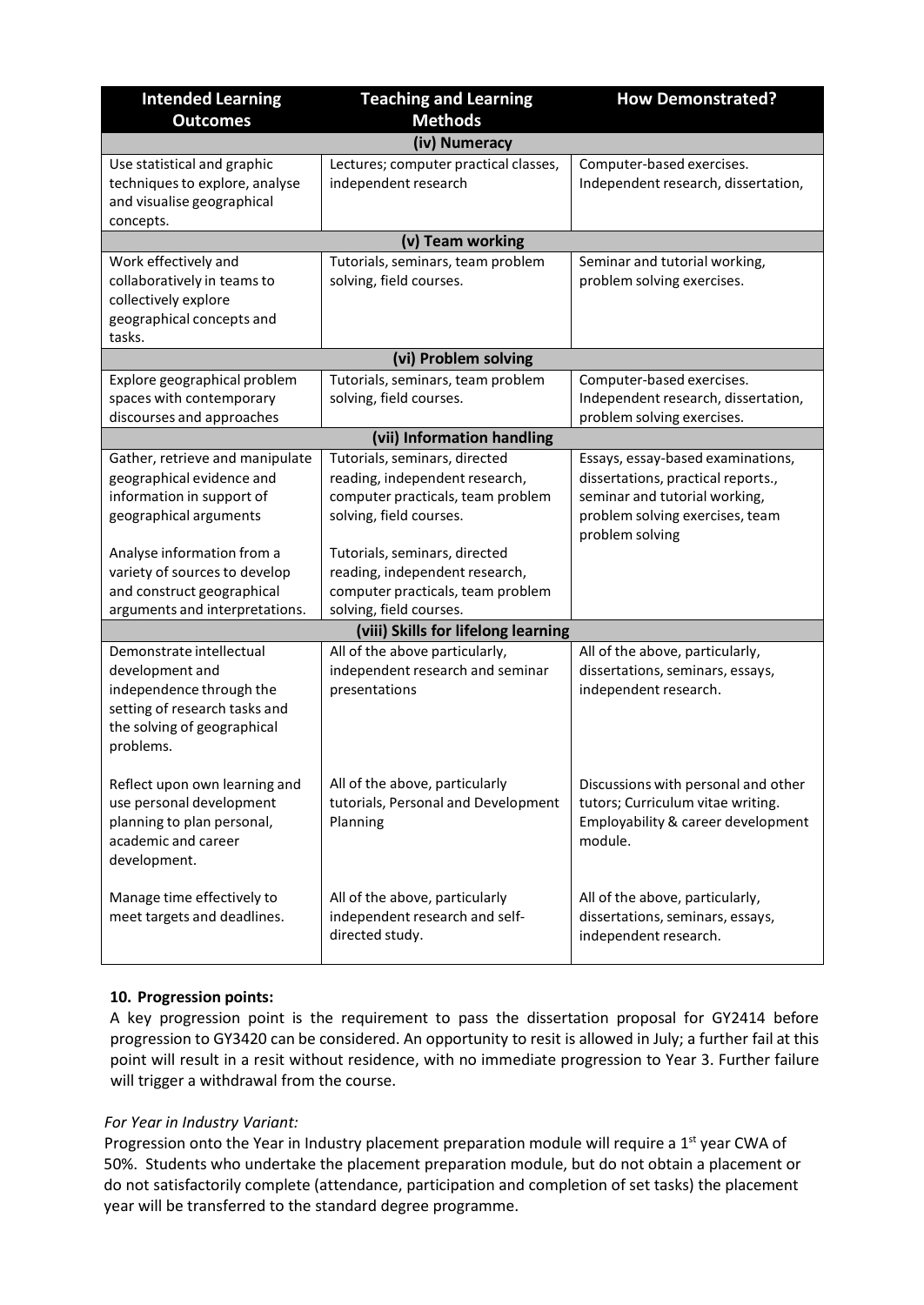| <b>Intended Learning</b>                                                                                                                             | <b>Teaching and Learning</b>                                                                                                    | <b>How Demonstrated?</b>                                                                                                                                       |
|------------------------------------------------------------------------------------------------------------------------------------------------------|---------------------------------------------------------------------------------------------------------------------------------|----------------------------------------------------------------------------------------------------------------------------------------------------------------|
| <b>Outcomes</b>                                                                                                                                      | <b>Methods</b>                                                                                                                  |                                                                                                                                                                |
|                                                                                                                                                      | (iv) Numeracy                                                                                                                   |                                                                                                                                                                |
| Use statistical and graphic<br>techniques to explore, analyse<br>and visualise geographical<br>concepts.                                             | Lectures; computer practical classes,<br>independent research                                                                   | Computer-based exercises.<br>Independent research, dissertation,                                                                                               |
|                                                                                                                                                      | (v) Team working                                                                                                                |                                                                                                                                                                |
| Work effectively and<br>collaboratively in teams to<br>collectively explore<br>geographical concepts and                                             | Tutorials, seminars, team problem<br>solving, field courses.                                                                    | Seminar and tutorial working,<br>problem solving exercises.                                                                                                    |
| tasks.                                                                                                                                               |                                                                                                                                 |                                                                                                                                                                |
|                                                                                                                                                      | (vi) Problem solving                                                                                                            |                                                                                                                                                                |
| Explore geographical problem<br>spaces with contemporary<br>discourses and approaches                                                                | Tutorials, seminars, team problem<br>solving, field courses.                                                                    | Computer-based exercises.<br>Independent research, dissertation,<br>problem solving exercises.                                                                 |
|                                                                                                                                                      | (vii) Information handling                                                                                                      |                                                                                                                                                                |
| Gather, retrieve and manipulate<br>geographical evidence and<br>information in support of<br>geographical arguments                                  | Tutorials, seminars, directed<br>reading, independent research,<br>computer practicals, team problem<br>solving, field courses. | Essays, essay-based examinations,<br>dissertations, practical reports.,<br>seminar and tutorial working,<br>problem solving exercises, team<br>problem solving |
| Analyse information from a<br>variety of sources to develop<br>and construct geographical<br>arguments and interpretations.                          | Tutorials, seminars, directed<br>reading, independent research,<br>computer practicals, team problem<br>solving, field courses. |                                                                                                                                                                |
| (viii) Skills for lifelong learning                                                                                                                  |                                                                                                                                 |                                                                                                                                                                |
| Demonstrate intellectual<br>development and<br>independence through the<br>setting of research tasks and<br>the solving of geographical<br>problems. | All of the above particularly,<br>independent research and seminar<br>presentations                                             | All of the above, particularly,<br>dissertations, seminars, essays,<br>independent research.                                                                   |
| Reflect upon own learning and<br>use personal development<br>planning to plan personal,<br>academic and career<br>development.                       | All of the above, particularly<br>tutorials, Personal and Development<br>Planning                                               | Discussions with personal and other<br>tutors; Curriculum vitae writing.<br>Employability & career development<br>module.                                      |
| Manage time effectively to<br>meet targets and deadlines.                                                                                            | All of the above, particularly<br>independent research and self-<br>directed study.                                             | All of the above, particularly,<br>dissertations, seminars, essays,<br>independent research.                                                                   |

# **10. Progression points:**

A key progression point is the requirement to pass the dissertation proposal for GY2414 before progression to GY3420 can be considered. An opportunity to resit is allowed in July; a further fail at this point will result in a resit without residence, with no immediate progression to Year 3. Further failure will trigger a withdrawal from the course.

### *For Year in Industry Variant:*

Progression onto the Year in Industry placement preparation module will require a 1<sup>st</sup> year CWA of 50%. Students who undertake the placement preparation module, but do not obtain a placement or do not satisfactorily complete (attendance, participation and completion of set tasks) the placement year will be transferred to the standard degree programme.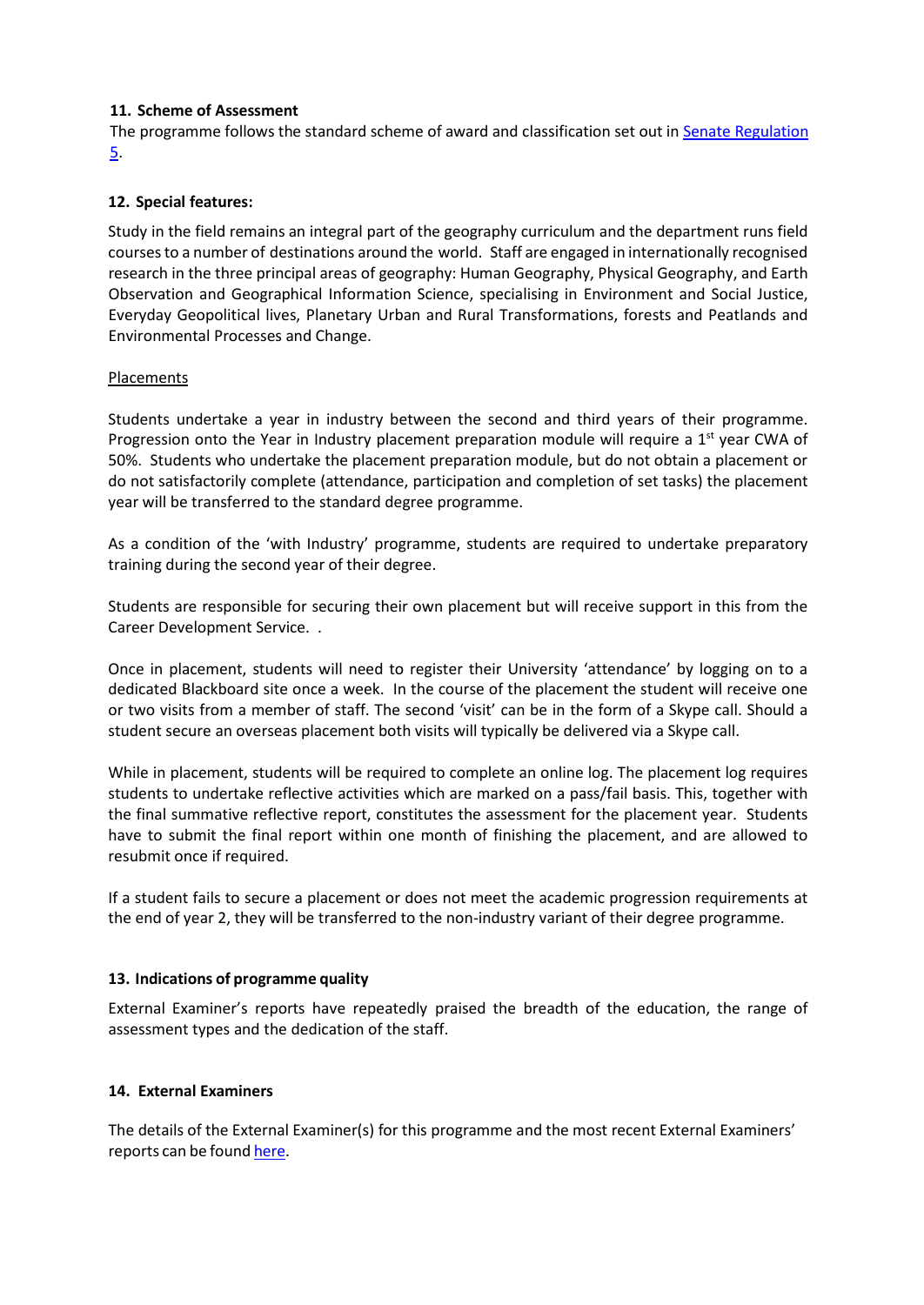### **11. Scheme of Assessment**

The programme follows the standard scheme of award and classification set out in Senate [Regulation](http://www2.le.ac.uk/offices/sas2/regulations/general-regulations-for-taught-programmes) [5.](http://www2.le.ac.uk/offices/sas2/regulations/general-regulations-for-taught-programmes)

### **12. Special features:**

Study in the field remains an integral part of the geography curriculum and the department runs field courses to a number of destinations around the world. Staff are engaged in internationally recognised research in the three principal areas of geography: Human Geography, Physical Geography, and Earth Observation and Geographical Information Science, specialising in Environment and Social Justice, Everyday Geopolitical lives, Planetary Urban and Rural Transformations, forests and Peatlands and Environmental Processes and Change.

### Placements

Students undertake a year in industry between the second and third years of their programme. Progression onto the Year in Industry placement preparation module will require a  $1<sup>st</sup>$  year CWA of 50%. Students who undertake the placement preparation module, but do not obtain a placement or do not satisfactorily complete (attendance, participation and completion of set tasks) the placement year will be transferred to the standard degree programme.

As a condition of the 'with Industry' programme, students are required to undertake preparatory training during the second year of their degree.

Students are responsible for securing their own placement but will receive support in this from the Career Development Service. .

Once in placement, students will need to register their University 'attendance' by logging on to a dedicated Blackboard site once a week. In the course of the placement the student will receive one or two visits from a member of staff. The second 'visit' can be in the form of a Skype call. Should a student secure an overseas placement both visits will typically be delivered via a Skype call.

While in placement, students will be required to complete an online log. The placement log requires students to undertake reflective activities which are marked on a pass/fail basis. This, together with the final summative reflective report, constitutes the assessment for the placement year. Students have to submit the final report within one month of finishing the placement, and are allowed to resubmit once if required.

If a student fails to secure a placement or does not meet the academic progression requirements at the end of year 2, they will be transferred to the non-industry variant of their degree programme.

### **13. Indications of programme quality**

External Examiner's reports have repeatedly praised the breadth of the education, the range of assessment types and the dedication of the staff.

### **14. External Examiners**

The details of the External Examiner(s) for this programme and the most recent External Examiners' reports can be foun[d here.](https://exampapers.le.ac.uk/xmlui/handle/123456789/287)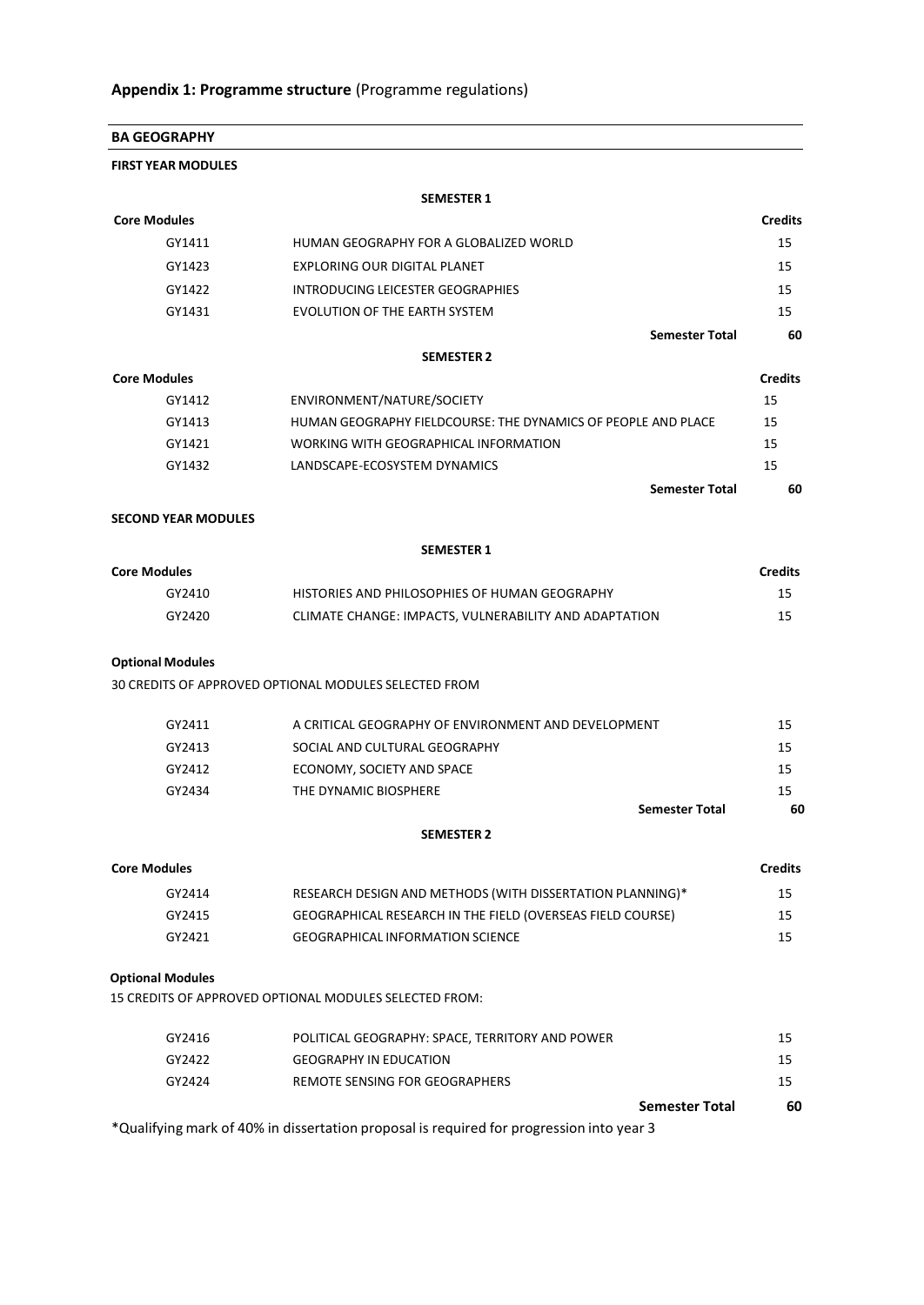| <b>BA GEOGRAPHY</b>        |                                                                                          |                |
|----------------------------|------------------------------------------------------------------------------------------|----------------|
| <b>FIRST YEAR MODULES</b>  |                                                                                          |                |
|                            | <b>SEMESTER 1</b>                                                                        |                |
| <b>Core Modules</b>        |                                                                                          | <b>Credits</b> |
| GY1411                     | HUMAN GEOGRAPHY FOR A GLOBALIZED WORLD                                                   | 15             |
| GY1423                     | EXPLORING OUR DIGITAL PLANET                                                             | 15             |
| GY1422                     | INTRODUCING LEICESTER GEOGRAPHIES                                                        | 15             |
| GY1431                     | <b>EVOLUTION OF THE EARTH SYSTEM</b>                                                     | 15             |
|                            | <b>Semester Total</b>                                                                    | 60             |
|                            | <b>SEMESTER 2</b>                                                                        |                |
| <b>Core Modules</b>        |                                                                                          | <b>Credits</b> |
| GY1412                     | ENVIRONMENT/NATURE/SOCIETY                                                               | 15             |
| GY1413                     | HUMAN GEOGRAPHY FIELDCOURSE: THE DYNAMICS OF PEOPLE AND PLACE                            | 15             |
| GY1421                     | WORKING WITH GEOGRAPHICAL INFORMATION                                                    | 15             |
| GY1432                     | LANDSCAPE-ECOSYSTEM DYNAMICS                                                             | 15             |
|                            | <b>Semester Total</b>                                                                    | 60             |
| <b>SECOND YEAR MODULES</b> |                                                                                          |                |
|                            | <b>SEMESTER 1</b>                                                                        |                |
| <b>Core Modules</b>        |                                                                                          | <b>Credits</b> |
| GY2410                     | HISTORIES AND PHILOSOPHIES OF HUMAN GEOGRAPHY                                            | 15             |
| GY2420                     | CLIMATE CHANGE: IMPACTS, VULNERABILITY AND ADAPTATION                                    | 15             |
| <b>Optional Modules</b>    |                                                                                          |                |
|                            | 30 CREDITS OF APPROVED OPTIONAL MODULES SELECTED FROM                                    |                |
| GY2411                     | A CRITICAL GEOGRAPHY OF ENVIRONMENT AND DEVELOPMENT                                      | 15             |
| GY2413                     | SOCIAL AND CULTURAL GEOGRAPHY                                                            | 15             |
| GY2412                     | ECONOMY, SOCIETY AND SPACE                                                               | 15             |
| GY2434                     | THE DYNAMIC BIOSPHERE                                                                    | 15             |
|                            | <b>Semester Total</b>                                                                    | 60             |
|                            | <b>SEMESTER 2</b>                                                                        |                |
| <b>Core Modules</b>        |                                                                                          | <b>Credits</b> |
| GY2414                     | RESEARCH DESIGN AND METHODS (WITH DISSERTATION PLANNING)*                                | 15             |
| GY2415                     | GEOGRAPHICAL RESEARCH IN THE FIELD (OVERSEAS FIELD COURSE)                               | 15             |
| GY2421                     | <b>GEOGRAPHICAL INFORMATION SCIENCE</b>                                                  | 15             |
| <b>Optional Modules</b>    |                                                                                          |                |
|                            | 15 CREDITS OF APPROVED OPTIONAL MODULES SELECTED FROM:                                   |                |
| GY2416                     | POLITICAL GEOGRAPHY: SPACE, TERRITORY AND POWER                                          | 15             |
| GY2422                     | <b>GEOGRAPHY IN EDUCATION</b>                                                            | 15             |
| GY2424                     | REMOTE SENSING FOR GEOGRAPHERS                                                           | 15             |
|                            | <b>Semester Total</b>                                                                    | 60             |
|                            | *Qualifying mark of 40% in dissertation proposal is required for progression into year 3 |                |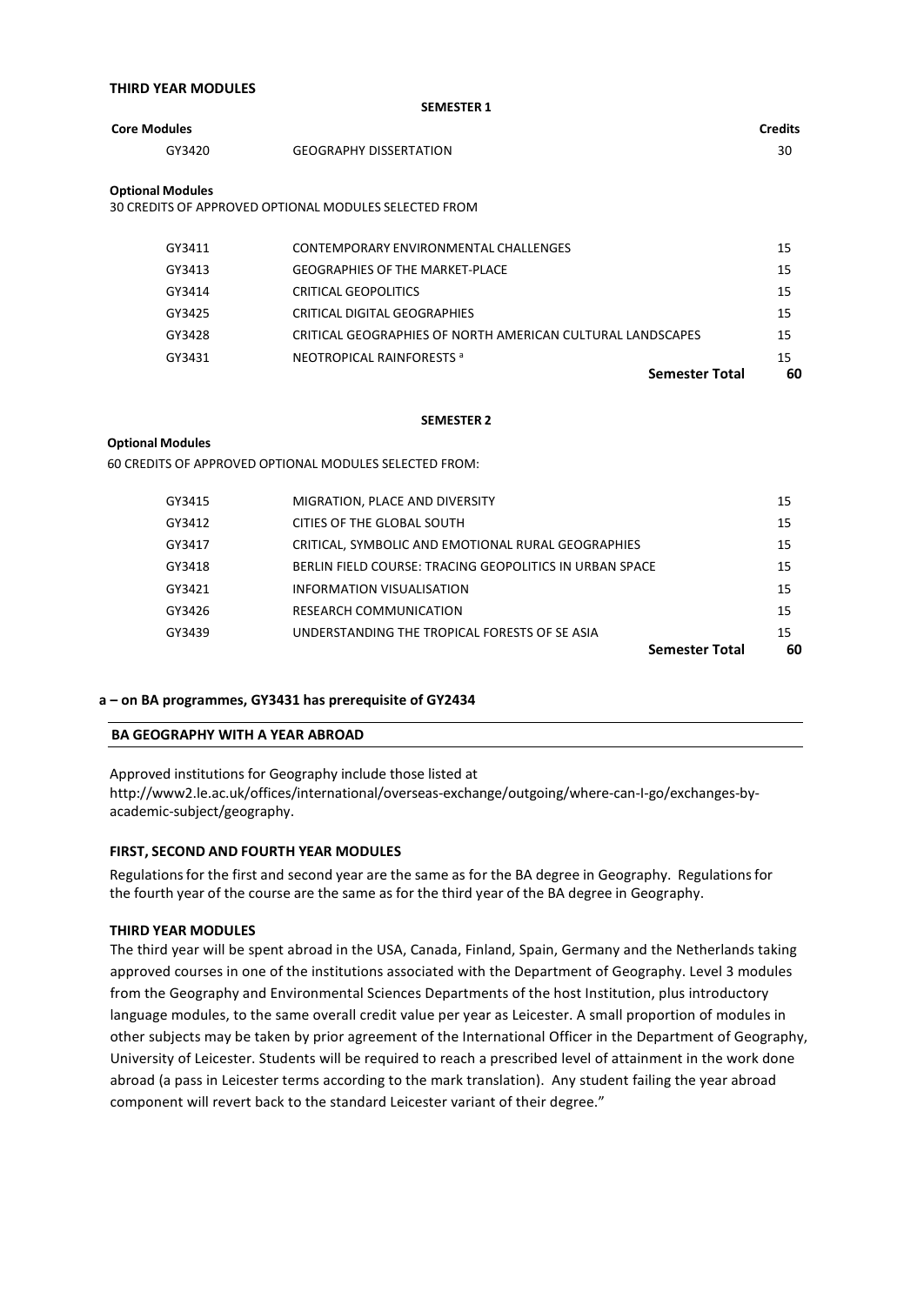| <b>THIRD YEAR MODULES</b> |  |  |  |
|---------------------------|--|--|--|
|---------------------------|--|--|--|

| <b>SEMESTER 1</b>   |                               |                |
|---------------------|-------------------------------|----------------|
| <b>Core Modules</b> |                               | <b>Credits</b> |
| GY3420              | <b>GEOGRAPHY DISSERTATION</b> | 30             |
| Ontional Modules    |                               |                |

**Optional Modules**

30 CREDITS OF APPROVED OPTIONAL MODULES SELECTED FROM

|        | <b>Semester Total</b>                                      | 60 |
|--------|------------------------------------------------------------|----|
| GY3431 | NEOTROPICAL RAINFORESTS <sup>a</sup>                       | 15 |
| GY3428 | CRITICAL GEOGRAPHIES OF NORTH AMERICAN CULTURAL LANDSCAPES | 15 |
| GY3425 | CRITICAL DIGITAL GEOGRAPHIES                               | 15 |
| GY3414 | CRITICAL GEOPOLITICS                                       | 15 |
| GY3413 | <b>GEOGRAPHIES OF THE MARKET-PLACE</b>                     | 15 |
| GY3411 | CONTEMPORARY ENVIRONMENTAL CHALLENGES                      | 15 |
|        |                                                            |    |

#### **SEMESTER 2**

#### **Optional Modules**

60 CREDITS OF APPROVED OPTIONAL MODULES SELECTED FROM:

|        |                                                         | <b>Semester Total</b> | 60 |
|--------|---------------------------------------------------------|-----------------------|----|
| GY3439 | UNDERSTANDING THE TROPICAL FORESTS OF SE ASIA           |                       | 15 |
| GY3426 | RESEARCH COMMUNICATION                                  |                       | 15 |
| GY3421 | INFORMATION VISUALISATION                               |                       | 15 |
| GY3418 | BERLIN FIELD COURSE: TRACING GEOPOLITICS IN URBAN SPACE |                       | 15 |
| GY3417 | CRITICAL, SYMBOLIC AND EMOTIONAL RURAL GEOGRAPHIES      |                       | 15 |
| GY3412 | CITIES OF THE GLOBAL SOUTH                              |                       | 15 |
| GY3415 | MIGRATION, PLACE AND DIVERSITY                          |                       | 15 |
|        |                                                         |                       |    |

#### **a – on BA programmes, GY3431 has prerequisite of GY2434**

#### **BA GEOGRAPHY WITH A YEAR ABROAD**

Approved institutions for Geography include those listed at http://www2.le.ac.uk/offices/international/overseas-exchange/outgoing/where-can-I-go/exchanges-byacademic-subject/geography.

#### **FIRST, SECOND AND FOURTH YEAR MODULES**

Regulations for the first and second year are the same as for the BA degree in Geography. Regulations for the fourth year of the course are the same as for the third year of the BA degree in Geography.

#### **THIRD YEAR MODULES**

The third year will be spent abroad in the USA, Canada, Finland, Spain, Germany and the Netherlands taking approved courses in one of the institutions associated with the Department of Geography. Level 3 modules from the Geography and Environmental Sciences Departments of the host Institution, plus introductory language modules, to the same overall credit value per year as Leicester. A small proportion of modules in other subjects may be taken by prior agreement of the International Officer in the Department of Geography, University of Leicester. Students will be required to reach a prescribed level of attainment in the work done abroad (a pass in Leicester terms according to the mark translation). Any student failing the year abroad component will revert back to the standard Leicester variant of their degree."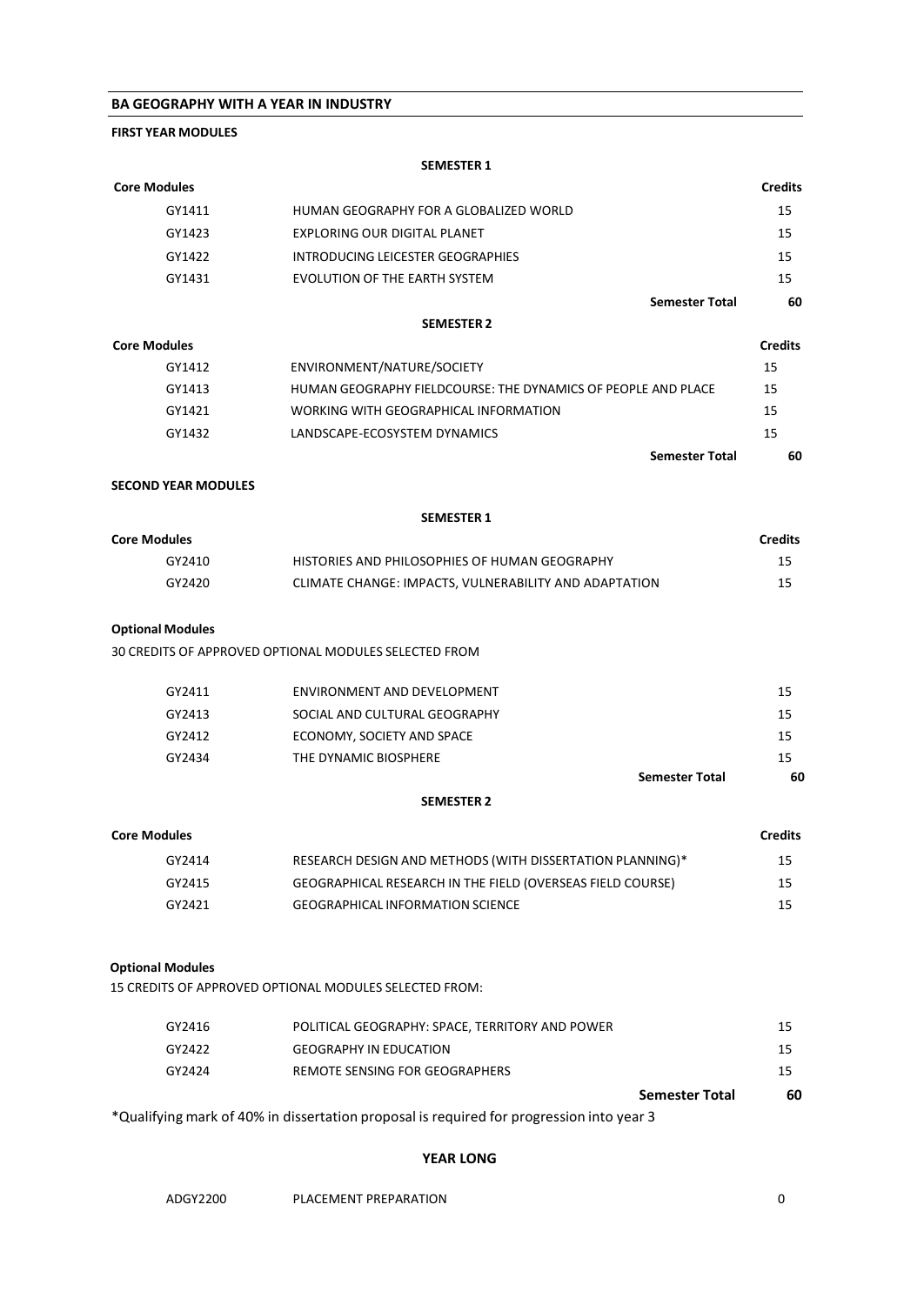#### **BA GEOGRAPHY WITH A YEAR IN INDUSTRY**

### **FIRST YEAR MODULES**

**SEMESTER 1**

| <b>Core Modules</b>        |                                                                                          | <b>Credits</b> |
|----------------------------|------------------------------------------------------------------------------------------|----------------|
| GY1411                     | HUMAN GEOGRAPHY FOR A GLOBALIZED WORLD                                                   | 15             |
| GY1423                     | EXPLORING OUR DIGITAL PLANET                                                             | 15             |
| GY1422                     | INTRODUCING LEICESTER GEOGRAPHIES                                                        | 15             |
| GY1431                     | EVOLUTION OF THE EARTH SYSTEM                                                            | 15             |
|                            | <b>Semester Total</b>                                                                    | 60             |
|                            | <b>SEMESTER 2</b>                                                                        |                |
| <b>Core Modules</b>        |                                                                                          | <b>Credits</b> |
| GY1412                     | ENVIRONMENT/NATURE/SOCIETY                                                               | 15             |
| GY1413                     | HUMAN GEOGRAPHY FIELDCOURSE: THE DYNAMICS OF PEOPLE AND PLACE                            | 15             |
| GY1421                     | WORKING WITH GEOGRAPHICAL INFORMATION                                                    | 15             |
| GY1432                     | LANDSCAPE-ECOSYSTEM DYNAMICS                                                             | 15             |
|                            | <b>Semester Total</b>                                                                    | 60             |
| <b>SECOND YEAR MODULES</b> |                                                                                          |                |
|                            | <b>SEMESTER 1</b>                                                                        |                |
| <b>Core Modules</b>        |                                                                                          | <b>Credits</b> |
| GY2410                     | HISTORIES AND PHILOSOPHIES OF HUMAN GEOGRAPHY                                            | 15             |
| GY2420                     | CLIMATE CHANGE: IMPACTS, VULNERABILITY AND ADAPTATION                                    | 15             |
|                            |                                                                                          |                |
| <b>Optional Modules</b>    |                                                                                          |                |
|                            | 30 CREDITS OF APPROVED OPTIONAL MODULES SELECTED FROM                                    |                |
|                            |                                                                                          |                |
| GY2411                     | ENVIRONMENT AND DEVELOPMENT                                                              | 15             |
| GY2413                     | SOCIAL AND CULTURAL GEOGRAPHY                                                            | 15             |
| GY2412                     | ECONOMY, SOCIETY AND SPACE                                                               | 15             |
| GY2434                     | THE DYNAMIC BIOSPHERE                                                                    | 15             |
|                            | <b>Semester Total</b>                                                                    | 60             |
|                            | <b>SEMESTER 2</b>                                                                        |                |
| <b>Core Modules</b>        |                                                                                          | <b>Credits</b> |
| GY2414                     | RESEARCH DESIGN AND METHODS (WITH DISSERTATION PLANNING)*                                | 15             |
| GY2415                     | GEOGRAPHICAL RESEARCH IN THE FIELD (OVERSEAS FIELD COURSE)                               | 15             |
| GY2421                     | <b>GEOGRAPHICAL INFORMATION SCIENCE</b>                                                  | 15             |
|                            |                                                                                          |                |
| <b>Optional Modules</b>    |                                                                                          |                |
|                            | 15 CREDITS OF APPROVED OPTIONAL MODULES SELECTED FROM:                                   |                |
| GY2416                     | POLITICAL GEOGRAPHY: SPACE, TERRITORY AND POWER                                          | 15             |
| GY2422                     | <b>GEOGRAPHY IN EDUCATION</b>                                                            | 15             |
| GY2424                     | <b>REMOTE SENSING FOR GEOGRAPHERS</b>                                                    | 15             |
|                            | <b>Semester Total</b>                                                                    | 60             |
|                            | *Qualifying mark of 40% in dissertation proposal is required for progression into year 3 |                |
|                            | <b>YEAR LONG</b>                                                                         |                |
| ADGY2200                   | PLACEMENT PREPARATION                                                                    | 0              |
|                            |                                                                                          |                |